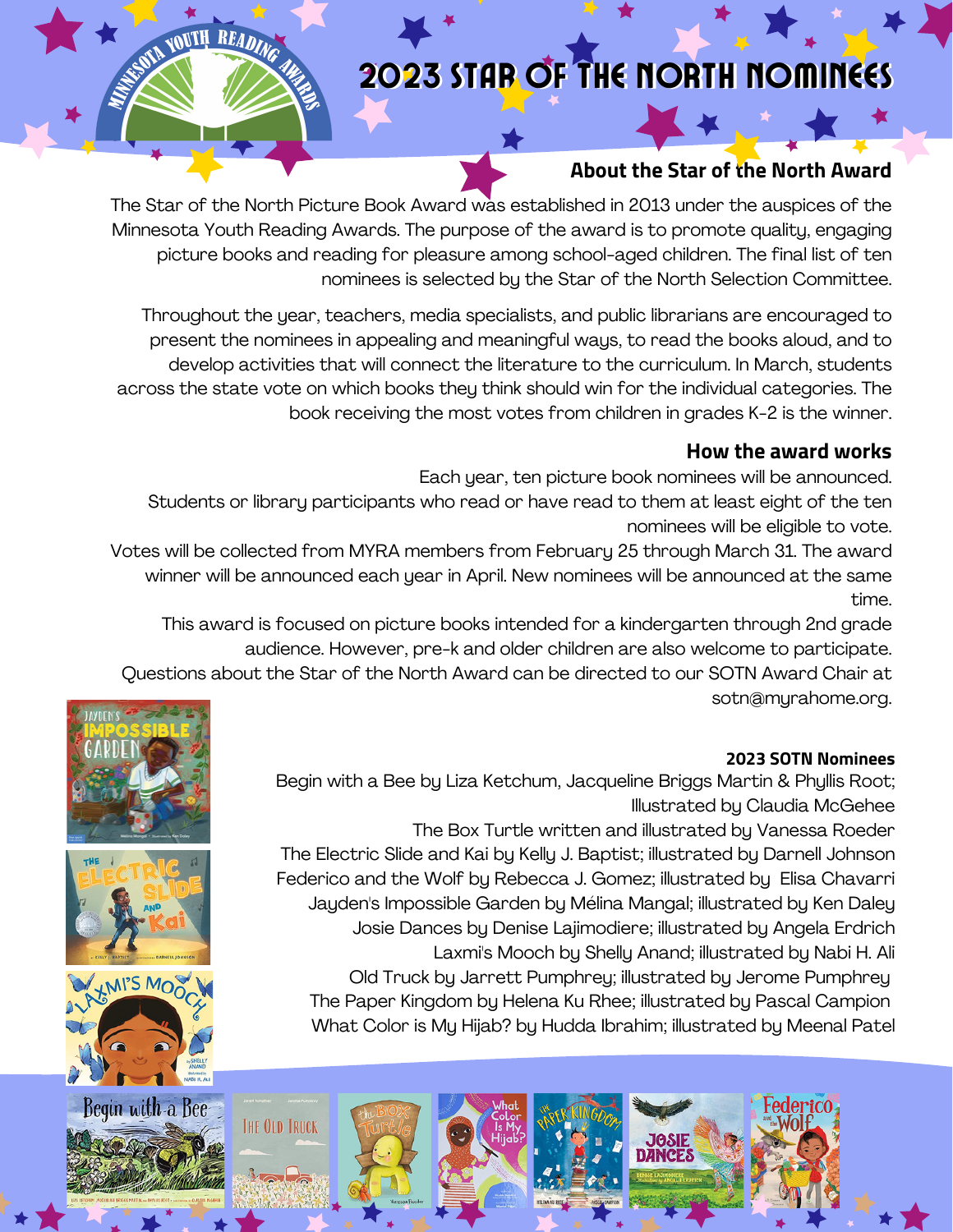# 2023 STAR OF THE NORTH NOMINEES

# **About the Star of the North Award**

The Star of the North Picture Book Award was established in 2013 under the auspices of the Minnesota Youth Reading Awards. The purpose of the award is to promote quality, engaging picture books and reading for pleasure among school-aged children. The final list of ten nominees is selected by the Star of the North Selection Committee.

Throughout the year, teachers, media specialists, and public librarians are encouraged to present the nominees in appealing and meaningful ways, to read the books aloud, and to develop activities that will connect the literature to the curriculum. In March, students across the state vote on which books they think should win for the individual categories. The book receiving the most votes from children in grades K-2 is the winner.

## **How the award works**

Each year, ten picture book nominees will be announced.

Students or library participants who read or have read to them at least eight of the ten nominees will be eligible to vote.

Votes will be collected from MYRA members from February 25 through March 31. The award winner will be announced each year in April. New nominees will be announced at the same time.

This award is focused on picture books intended for a kindergarten through 2nd grade audience. However, pre-k and older children are also welcome to participate.

Questions about the Star of the North Award can be directed to our SOTN Award Chair at sotn@myrahome.org.

#### **2023 SOTN Nominees**

Begin with a Bee by Liza Ketchum, Jacqueline Briggs Martin & Phyllis Root; Illustrated by Claudia McGehee

The Box Turtle written and illustrated by Vanessa Roeder The Electric Slide and Kai by Kelly J. Baptist; illustrated by Darnell Johnson Federico and the Wolf by Rebecca J. Gomez; illustrated by Elisa Chavarri Jayden's Impossible Garden by Mélina Mangal; illustrated by Ken Daley Josie Dances by Denise Lajimodiere; illustrated by Angela Erdrich Laxmi's Mooch by Shelly Anand; illustrated by Nabi H. Ali Old Truck by Jarrett Pumphrey; illustrated by Jerome Pumphrey The Paper Kingdom by Helena Ku Rhee; illustrated by Pascal Campion What Color is My Hijab? by Hudda Ibrahim; illustrated by Meenal Patel





SWIN YOUTH READING